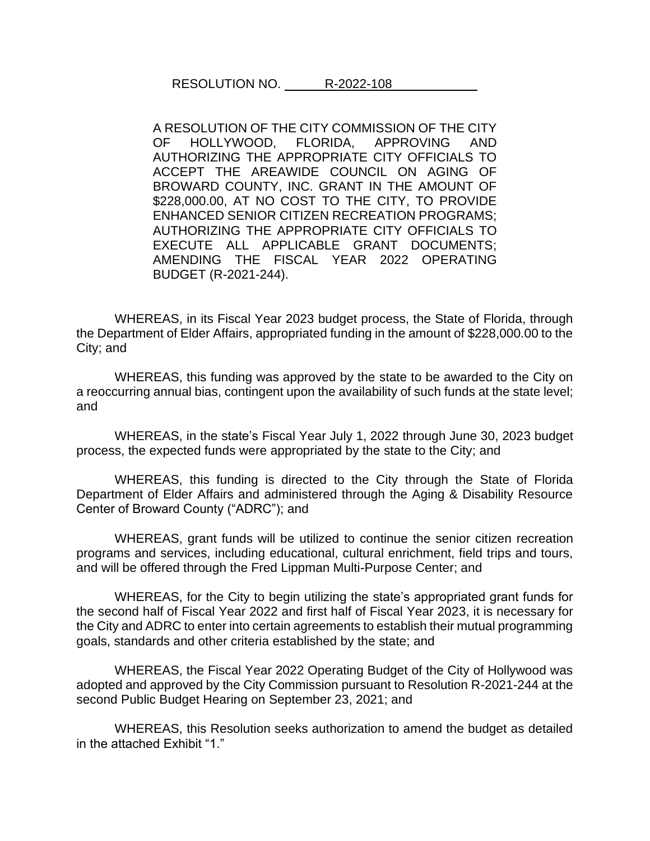RESOLUTION NO. R-2022-108

A RESOLUTION OF THE CITY COMMISSION OF THE CITY OF HOLLYWOOD, FLORIDA, APPROVING AND AUTHORIZING THE APPROPRIATE CITY OFFICIALS TO ACCEPT THE AREAWIDE COUNCIL ON AGING OF BROWARD COUNTY, INC. GRANT IN THE AMOUNT OF \$228,000.00, AT NO COST TO THE CITY, TO PROVIDE ENHANCED SENIOR CITIZEN RECREATION PROGRAMS; AUTHORIZING THE APPROPRIATE CITY OFFICIALS TO EXECUTE ALL APPLICABLE GRANT DOCUMENTS; AMENDING THE FISCAL YEAR 2022 OPERATING BUDGET (R-2021-244).

WHEREAS, in its Fiscal Year 2023 budget process, the State of Florida, through the Department of Elder Affairs, appropriated funding in the amount of \$228,000.00 to the City; and

WHEREAS, this funding was approved by the state to be awarded to the City on a reoccurring annual bias, contingent upon the availability of such funds at the state level; and

WHEREAS, in the state's Fiscal Year July 1, 2022 through June 30, 2023 budget process, the expected funds were appropriated by the state to the City; and

WHEREAS, this funding is directed to the City through the State of Florida Department of Elder Affairs and administered through the Aging & Disability Resource Center of Broward County ("ADRC"); and

WHEREAS, grant funds will be utilized to continue the senior citizen recreation programs and services, including educational, cultural enrichment, field trips and tours, and will be offered through the Fred Lippman Multi-Purpose Center; and

WHEREAS, for the City to begin utilizing the state's appropriated grant funds for the second half of Fiscal Year 2022 and first half of Fiscal Year 2023, it is necessary for the City and ADRC to enter into certain agreements to establish their mutual programming goals, standards and other criteria established by the state; and

WHEREAS, the Fiscal Year 2022 Operating Budget of the City of Hollywood was adopted and approved by the City Commission pursuant to Resolution R-2021-244 at the second Public Budget Hearing on September 23, 2021; and

WHEREAS, this Resolution seeks authorization to amend the budget as detailed in the attached Exhibit "1."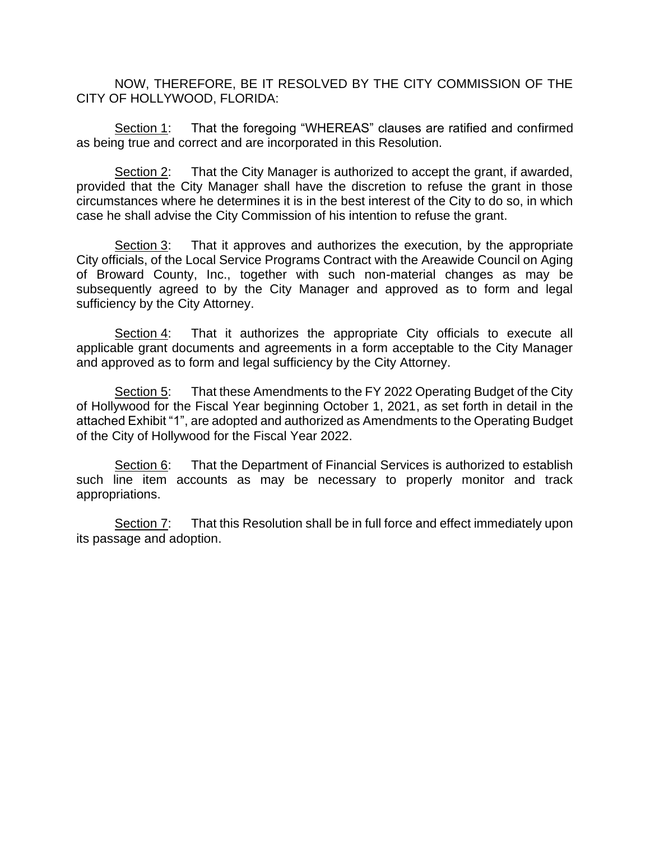NOW, THEREFORE, BE IT RESOLVED BY THE CITY COMMISSION OF THE CITY OF HOLLYWOOD, FLORIDA:

Section 1: That the foregoing "WHEREAS" clauses are ratified and confirmed as being true and correct and are incorporated in this Resolution.

Section 2: That the City Manager is authorized to accept the grant, if awarded, provided that the City Manager shall have the discretion to refuse the grant in those circumstances where he determines it is in the best interest of the City to do so, in which case he shall advise the City Commission of his intention to refuse the grant.

Section 3: That it approves and authorizes the execution, by the appropriate City officials, of the Local Service Programs Contract with the Areawide Council on Aging of Broward County, Inc., together with such non-material changes as may be subsequently agreed to by the City Manager and approved as to form and legal sufficiency by the City Attorney.

Section 4: That it authorizes the appropriate City officials to execute all applicable grant documents and agreements in a form acceptable to the City Manager and approved as to form and legal sufficiency by the City Attorney.

Section 5: That these Amendments to the FY 2022 Operating Budget of the City of Hollywood for the Fiscal Year beginning October 1, 2021, as set forth in detail in the attached Exhibit "1", are adopted and authorized as Amendments to the Operating Budget of the City of Hollywood for the Fiscal Year 2022.

Section 6: That the Department of Financial Services is authorized to establish such line item accounts as may be necessary to properly monitor and track appropriations.

Section 7: That this Resolution shall be in full force and effect immediately upon its passage and adoption.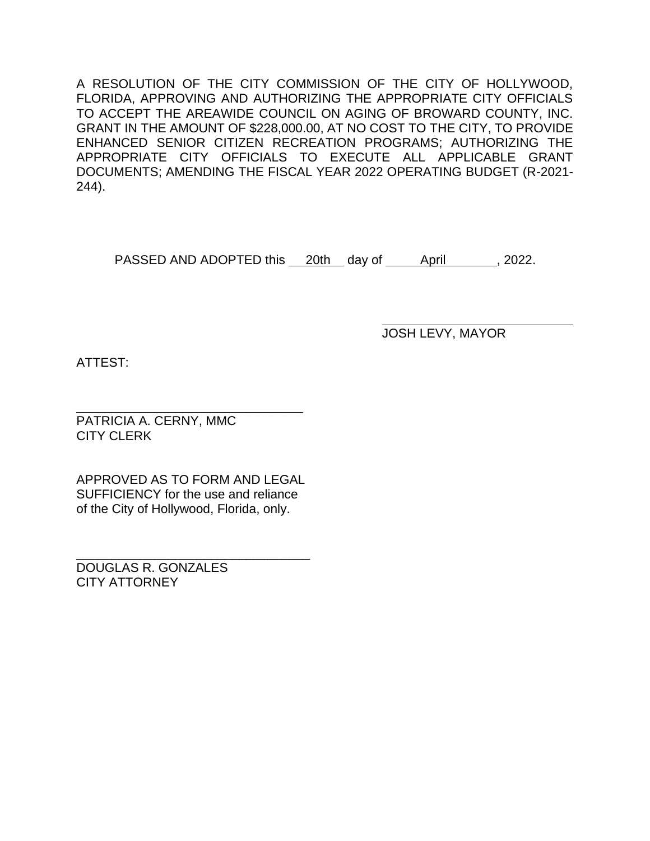A RESOLUTION OF THE CITY COMMISSION OF THE CITY OF HOLLYWOOD, FLORIDA, APPROVING AND AUTHORIZING THE APPROPRIATE CITY OFFICIALS TO ACCEPT THE AREAWIDE COUNCIL ON AGING OF BROWARD COUNTY, INC. GRANT IN THE AMOUNT OF \$228,000.00, AT NO COST TO THE CITY, TO PROVIDE ENHANCED SENIOR CITIZEN RECREATION PROGRAMS; AUTHORIZING THE APPROPRIATE CITY OFFICIALS TO EXECUTE ALL APPLICABLE GRANT DOCUMENTS; AMENDING THE FISCAL YEAR 2022 OPERATING BUDGET (R-2021- 244).

PASSED AND ADOPTED this 20th day of April 40.2022.

JOSH LEVY, MAYOR

ATTEST:

\_\_\_\_\_\_\_\_\_\_\_\_\_\_\_\_\_\_\_\_\_\_\_\_\_\_\_\_\_\_\_\_ PATRICIA A. CERNY, MMC CITY CLERK

APPROVED AS TO FORM AND LEGAL SUFFICIENCY for the use and reliance of the City of Hollywood, Florida, only.

\_\_\_\_\_\_\_\_\_\_\_\_\_\_\_\_\_\_\_\_\_\_\_\_\_\_\_\_\_\_\_\_\_ DOUGLAS R. GONZALES CITY ATTORNEY